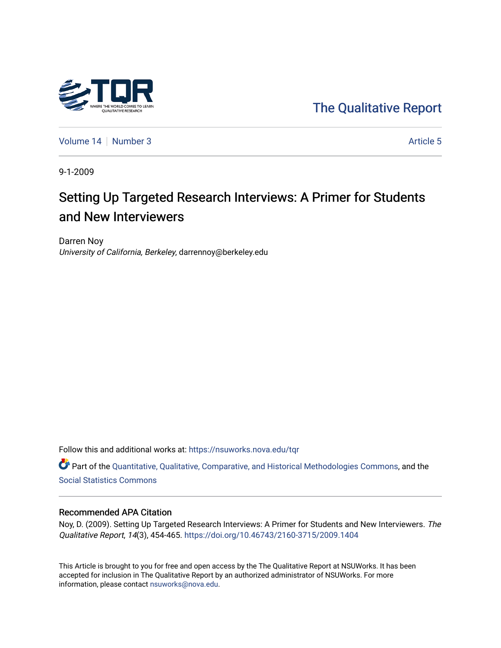

[The Qualitative Report](https://nsuworks.nova.edu/tqr) 

[Volume 14](https://nsuworks.nova.edu/tqr/vol14) [Number 3](https://nsuworks.nova.edu/tqr/vol14/iss3) Article 5

9-1-2009

# Setting Up Targeted Research Interviews: A Primer for Students and New Interviewers

Darren Noy University of California, Berkeley, darrennoy@berkeley.edu

Follow this and additional works at: [https://nsuworks.nova.edu/tqr](https://nsuworks.nova.edu/tqr?utm_source=nsuworks.nova.edu%2Ftqr%2Fvol14%2Fiss3%2F5&utm_medium=PDF&utm_campaign=PDFCoverPages) 

Part of the [Quantitative, Qualitative, Comparative, and Historical Methodologies Commons,](http://network.bepress.com/hgg/discipline/423?utm_source=nsuworks.nova.edu%2Ftqr%2Fvol14%2Fiss3%2F5&utm_medium=PDF&utm_campaign=PDFCoverPages) and the [Social Statistics Commons](http://network.bepress.com/hgg/discipline/1275?utm_source=nsuworks.nova.edu%2Ftqr%2Fvol14%2Fiss3%2F5&utm_medium=PDF&utm_campaign=PDFCoverPages) 

#### Recommended APA Citation

Noy, D. (2009). Setting Up Targeted Research Interviews: A Primer for Students and New Interviewers. The Qualitative Report, 14(3), 454-465.<https://doi.org/10.46743/2160-3715/2009.1404>

This Article is brought to you for free and open access by the The Qualitative Report at NSUWorks. It has been accepted for inclusion in The Qualitative Report by an authorized administrator of NSUWorks. For more information, please contact [nsuworks@nova.edu.](mailto:nsuworks@nova.edu)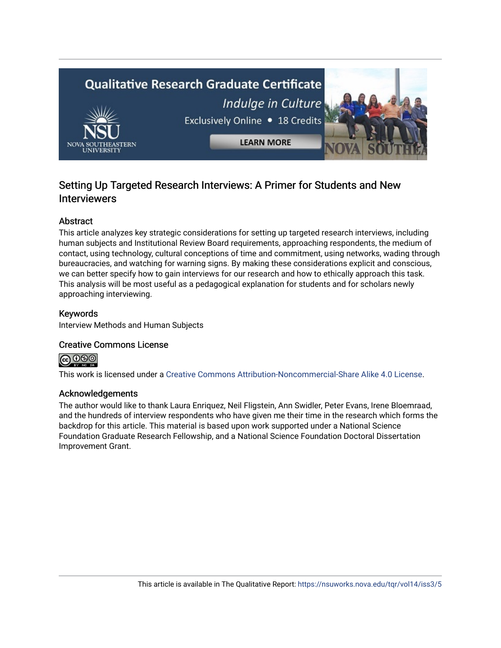

# Setting Up Targeted Research Interviews: A Primer for Students and New **Interviewers**

# Abstract

This article analyzes key strategic considerations for setting up targeted research interviews, including human subjects and Institutional Review Board requirements, approaching respondents, the medium of contact, using technology, cultural conceptions of time and commitment, using networks, wading through bureaucracies, and watching for warning signs. By making these considerations explicit and conscious, we can better specify how to gain interviews for our research and how to ethically approach this task. This analysis will be most useful as a pedagogical explanation for students and for scholars newly approaching interviewing.

## Keywords

Interview Methods and Human Subjects

# Creative Commons License



This work is licensed under a [Creative Commons Attribution-Noncommercial-Share Alike 4.0 License](https://creativecommons.org/licenses/by-nc-sa/4.0/).

### Acknowledgements

The author would like to thank Laura Enriquez, Neil Fligstein, Ann Swidler, Peter Evans, Irene Bloemraad, and the hundreds of interview respondents who have given me their time in the research which forms the backdrop for this article. This material is based upon work supported under a National Science Foundation Graduate Research Fellowship, and a National Science Foundation Doctoral Dissertation Improvement Grant.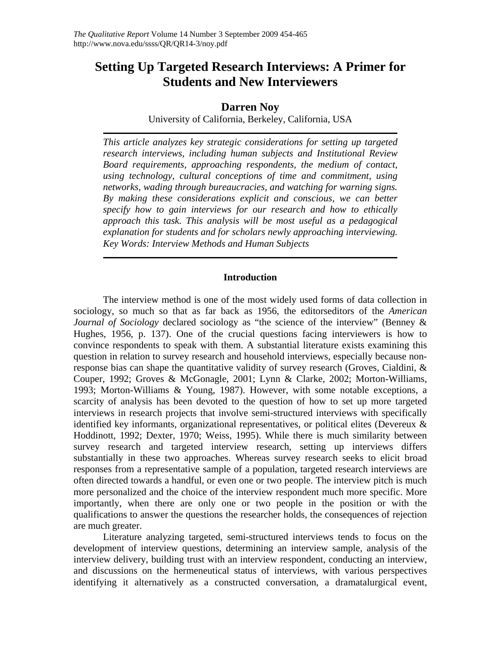# **Setting Up Targeted Research Interviews: A Primer for Students and New Interviewers**

# **Darren Noy**

University of California, Berkeley, California, USA

*This article analyzes key strategic considerations for setting up targeted research interviews, including human subjects and Institutional Review Board requirements, approaching respondents, the medium of contact, using technology, cultural conceptions of time and commitment, using networks, wading through bureaucracies, and watching for warning signs. By making these considerations explicit and conscious, we can better specify how to gain interviews for our research and how to ethically approach this task. This analysis will be most useful as a pedagogical explanation for students and for scholars newly approaching interviewing. Key Words: Interview Methods and Human Subjects* 

#### **Introduction**

The interview method is one of the most widely used forms of data collection in sociology, so much so that as far back as 1956, the editorseditors of the *American Journal of Sociology* declared sociology as "the science of the interview" (Benney & Hughes, 1956, p. 137). One of the crucial questions facing interviewers is how to convince respondents to speak with them. A substantial literature exists examining this question in relation to survey research and household interviews, especially because nonresponse bias can shape the quantitative validity of survey research (Groves, Cialdini, & Couper, 1992; Groves & McGonagle, 2001; Lynn & Clarke, 2002; Morton-Williams, 1993; Morton-Williams & Young, 1987). However, with some notable exceptions, a scarcity of analysis has been devoted to the question of how to set up more targeted interviews in research projects that involve semi-structured interviews with specifically identified key informants, organizational representatives, or political elites (Devereux & Hoddinott, 1992; Dexter, 1970; Weiss, 1995). While there is much similarity between survey research and targeted interview research, setting up interviews differs substantially in these two approaches. Whereas survey research seeks to elicit broad responses from a representative sample of a population, targeted research interviews are often directed towards a handful, or even one or two people. The interview pitch is much more personalized and the choice of the interview respondent much more specific. More importantly, when there are only one or two people in the position or with the qualifications to answer the questions the researcher holds, the consequences of rejection are much greater.

Literature analyzing targeted, semi-structured interviews tends to focus on the development of interview questions, determining an interview sample, analysis of the interview delivery, building trust with an interview respondent, conducting an interview, and discussions on the hermeneutical status of interviews, with various perspectives identifying it alternatively as a constructed conversation, a dramatalurgical event,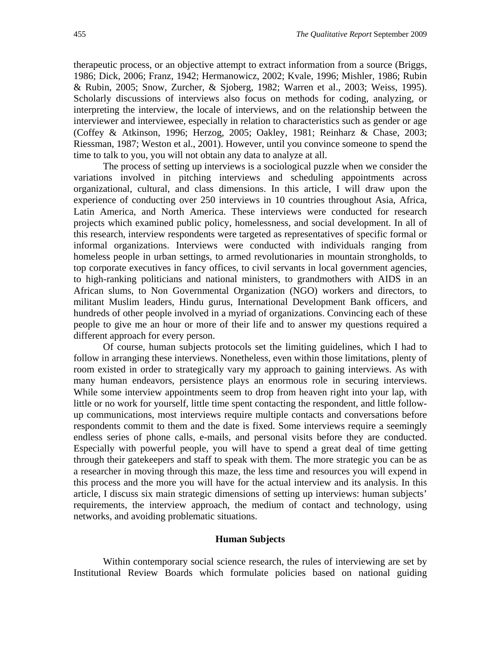therapeutic process, or an objective attempt to extract information from a source (Briggs, 1986; Dick, 2006; Franz, 1942; Hermanowicz, 2002; Kvale, 1996; Mishler, 1986; Rubin & Rubin, 2005; Snow, Zurcher, & Sjoberg, 1982; Warren et al., 2003; Weiss, 1995). Scholarly discussions of interviews also focus on methods for coding, analyzing, or interpreting the interview, the locale of interviews, and on the relationship between the interviewer and interviewee, especially in relation to characteristics such as gender or age (Coffey & Atkinson, 1996; Herzog, 2005; Oakley, 1981; Reinharz & Chase, 2003; Riessman, 1987; Weston et al., 2001). However, until you convince someone to spend the time to talk to you, you will not obtain any data to analyze at all.

The process of setting up interviews is a sociological puzzle when we consider the variations involved in pitching interviews and scheduling appointments across organizational, cultural, and class dimensions. In this article, I will draw upon the experience of conducting over 250 interviews in 10 countries throughout Asia, Africa, Latin America, and North America. These interviews were conducted for research projects which examined public policy, homelessness, and social development. In all of this research, interview respondents were targeted as representatives of specific formal or informal organizations. Interviews were conducted with individuals ranging from homeless people in urban settings, to armed revolutionaries in mountain strongholds, to top corporate executives in fancy offices, to civil servants in local government agencies, to high-ranking politicians and national ministers, to grandmothers with AIDS in an African slums, to Non Governmental Organization (NGO) workers and directors, to militant Muslim leaders, Hindu gurus, International Development Bank officers, and hundreds of other people involved in a myriad of organizations. Convincing each of these people to give me an hour or more of their life and to answer my questions required a different approach for every person.

Of course, human subjects protocols set the limiting guidelines, which I had to follow in arranging these interviews. Nonetheless, even within those limitations, plenty of room existed in order to strategically vary my approach to gaining interviews. As with many human endeavors, persistence plays an enormous role in securing interviews. While some interview appointments seem to drop from heaven right into your lap, with little or no work for yourself, little time spent contacting the respondent, and little followup communications, most interviews require multiple contacts and conversations before respondents commit to them and the date is fixed. Some interviews require a seemingly endless series of phone calls, e-mails, and personal visits before they are conducted. Especially with powerful people, you will have to spend a great deal of time getting through their gatekeepers and staff to speak with them. The more strategic you can be as a researcher in moving through this maze, the less time and resources you will expend in this process and the more you will have for the actual interview and its analysis. In this article, I discuss six main strategic dimensions of setting up interviews: human subjects' requirements, the interview approach, the medium of contact and technology, using networks, and avoiding problematic situations.

#### **Human Subjects**

Within contemporary social science research, the rules of interviewing are set by Institutional Review Boards which formulate policies based on national guiding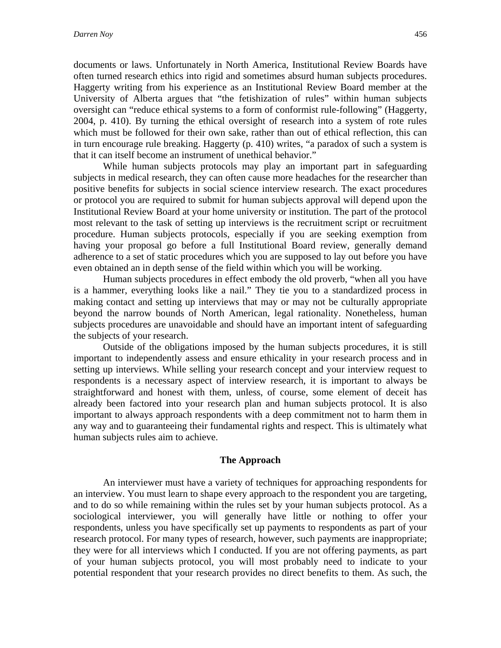documents or laws. Unfortunately in North America, Institutional Review Boards have often turned research ethics into rigid and sometimes absurd human subjects procedures. Haggerty writing from his experience as an Institutional Review Board member at the University of Alberta argues that "the fetishization of rules" within human subjects oversight can "reduce ethical systems to a form of conformist rule-following" (Haggerty, 2004, p. 410). By turning the ethical oversight of research into a system of rote rules which must be followed for their own sake, rather than out of ethical reflection, this can in turn encourage rule breaking. Haggerty (p. 410) writes, "a paradox of such a system is that it can itself become an instrument of unethical behavior."

While human subjects protocols may play an important part in safeguarding subjects in medical research, they can often cause more headaches for the researcher than positive benefits for subjects in social science interview research. The exact procedures or protocol you are required to submit for human subjects approval will depend upon the Institutional Review Board at your home university or institution. The part of the protocol most relevant to the task of setting up interviews is the recruitment script or recruitment procedure. Human subjects protocols, especially if you are seeking exemption from having your proposal go before a full Institutional Board review, generally demand adherence to a set of static procedures which you are supposed to lay out before you have even obtained an in depth sense of the field within which you will be working.

Human subjects procedures in effect embody the old proverb, "when all you have is a hammer, everything looks like a nail." They tie you to a standardized process in making contact and setting up interviews that may or may not be culturally appropriate beyond the narrow bounds of North American, legal rationality. Nonetheless, human subjects procedures are unavoidable and should have an important intent of safeguarding the subjects of your research.

Outside of the obligations imposed by the human subjects procedures, it is still important to independently assess and ensure ethicality in your research process and in setting up interviews. While selling your research concept and your interview request to respondents is a necessary aspect of interview research, it is important to always be straightforward and honest with them, unless, of course, some element of deceit has already been factored into your research plan and human subjects protocol. It is also important to always approach respondents with a deep commitment not to harm them in any way and to guaranteeing their fundamental rights and respect. This is ultimately what human subjects rules aim to achieve.

#### **The Approach**

An interviewer must have a variety of techniques for approaching respondents for an interview. You must learn to shape every approach to the respondent you are targeting, and to do so while remaining within the rules set by your human subjects protocol. As a sociological interviewer, you will generally have little or nothing to offer your respondents, unless you have specifically set up payments to respondents as part of your research protocol. For many types of research, however, such payments are inappropriate; they were for all interviews which I conducted. If you are not offering payments, as part of your human subjects protocol, you will most probably need to indicate to your potential respondent that your research provides no direct benefits to them. As such, the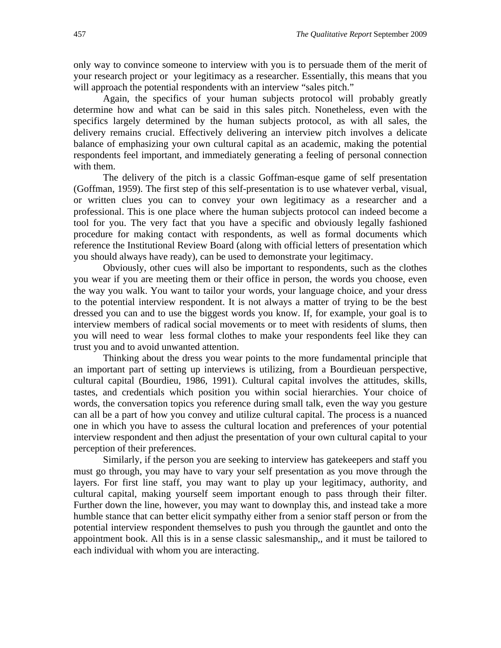only way to convince someone to interview with you is to persuade them of the merit of your research project or your legitimacy as a researcher. Essentially, this means that you will approach the potential respondents with an interview "sales pitch."

Again, the specifics of your human subjects protocol will probably greatly determine how and what can be said in this sales pitch. Nonetheless, even with the specifics largely determined by the human subjects protocol, as with all sales, the delivery remains crucial. Effectively delivering an interview pitch involves a delicate balance of emphasizing your own cultural capital as an academic, making the potential respondents feel important, and immediately generating a feeling of personal connection with them.

The delivery of the pitch is a classic Goffman-esque game of self presentation (Goffman, 1959). The first step of this self-presentation is to use whatever verbal, visual, or written clues you can to convey your own legitimacy as a researcher and a professional. This is one place where the human subjects protocol can indeed become a tool for you. The very fact that you have a specific and obviously legally fashioned procedure for making contact with respondents, as well as formal documents which reference the Institutional Review Board (along with official letters of presentation which you should always have ready), can be used to demonstrate your legitimacy.

Obviously, other cues will also be important to respondents, such as the clothes you wear if you are meeting them or their office in person, the words you choose, even the way you walk. You want to tailor your words, your language choice, and your dress to the potential interview respondent. It is not always a matter of trying to be the best dressed you can and to use the biggest words you know. If, for example, your goal is to interview members of radical social movements or to meet with residents of slums, then you will need to wear less formal clothes to make your respondents feel like they can trust you and to avoid unwanted attention.

Thinking about the dress you wear points to the more fundamental principle that an important part of setting up interviews is utilizing, from a Bourdieuan perspective, cultural capital (Bourdieu, 1986, 1991). Cultural capital involves the attitudes, skills, tastes, and credentials which position you within social hierarchies. Your choice of words, the conversation topics you reference during small talk, even the way you gesture can all be a part of how you convey and utilize cultural capital. The process is a nuanced one in which you have to assess the cultural location and preferences of your potential interview respondent and then adjust the presentation of your own cultural capital to your perception of their preferences.

Similarly, if the person you are seeking to interview has gatekeepers and staff you must go through, you may have to vary your self presentation as you move through the layers. For first line staff, you may want to play up your legitimacy, authority, and cultural capital, making yourself seem important enough to pass through their filter. Further down the line, however, you may want to downplay this, and instead take a more humble stance that can better elicit sympathy either from a senior staff person or from the potential interview respondent themselves to push you through the gauntlet and onto the appointment book. All this is in a sense classic salesmanship,, and it must be tailored to each individual with whom you are interacting.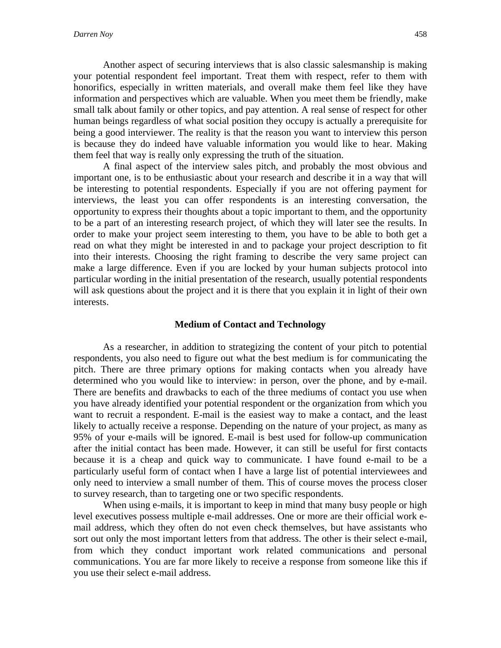Another aspect of securing interviews that is also classic salesmanship is making your potential respondent feel important. Treat them with respect, refer to them with honorifics, especially in written materials, and overall make them feel like they have information and perspectives which are valuable. When you meet them be friendly, make small talk about family or other topics, and pay attention. A real sense of respect for other human beings regardless of what social position they occupy is actually a prerequisite for being a good interviewer. The reality is that the reason you want to interview this person is because they do indeed have valuable information you would like to hear. Making them feel that way is really only expressing the truth of the situation.

A final aspect of the interview sales pitch, and probably the most obvious and important one, is to be enthusiastic about your research and describe it in a way that will be interesting to potential respondents. Especially if you are not offering payment for interviews, the least you can offer respondents is an interesting conversation, the opportunity to express their thoughts about a topic important to them, and the opportunity to be a part of an interesting research project, of which they will later see the results. In order to make your project seem interesting to them, you have to be able to both get a read on what they might be interested in and to package your project description to fit into their interests. Choosing the right framing to describe the very same project can make a large difference. Even if you are locked by your human subjects protocol into particular wording in the initial presentation of the research, usually potential respondents will ask questions about the project and it is there that you explain it in light of their own interests.

#### **Medium of Contact and Technology**

As a researcher, in addition to strategizing the content of your pitch to potential respondents, you also need to figure out what the best medium is for communicating the pitch. There are three primary options for making contacts when you already have determined who you would like to interview: in person, over the phone, and by e-mail. There are benefits and drawbacks to each of the three mediums of contact you use when you have already identified your potential respondent or the organization from which you want to recruit a respondent. E-mail is the easiest way to make a contact, and the least likely to actually receive a response. Depending on the nature of your project, as many as 95% of your e-mails will be ignored. E-mail is best used for follow-up communication after the initial contact has been made. However, it can still be useful for first contacts because it is a cheap and quick way to communicate. I have found e-mail to be a particularly useful form of contact when I have a large list of potential interviewees and only need to interview a small number of them. This of course moves the process closer to survey research, than to targeting one or two specific respondents.

When using e-mails, it is important to keep in mind that many busy people or high level executives possess multiple e-mail addresses. One or more are their official work email address, which they often do not even check themselves, but have assistants who sort out only the most important letters from that address. The other is their select e-mail, from which they conduct important work related communications and personal communications. You are far more likely to receive a response from someone like this if you use their select e-mail address.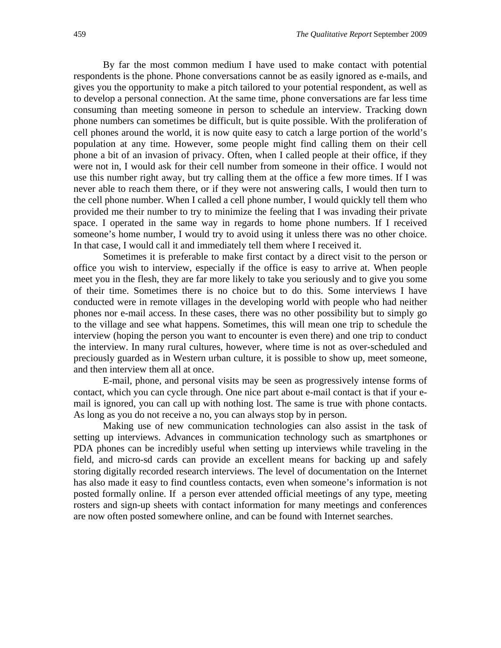By far the most common medium I have used to make contact with potential respondents is the phone. Phone conversations cannot be as easily ignored as e-mails, and gives you the opportunity to make a pitch tailored to your potential respondent, as well as to develop a personal connection. At the same time, phone conversations are far less time consuming than meeting someone in person to schedule an interview. Tracking down phone numbers can sometimes be difficult, but is quite possible. With the proliferation of cell phones around the world, it is now quite easy to catch a large portion of the world's population at any time. However, some people might find calling them on their cell phone a bit of an invasion of privacy. Often, when I called people at their office, if they were not in, I would ask for their cell number from someone in their office. I would not use this number right away, but try calling them at the office a few more times. If I was never able to reach them there, or if they were not answering calls, I would then turn to the cell phone number. When I called a cell phone number, I would quickly tell them who provided me their number to try to minimize the feeling that I was invading their private space. I operated in the same way in regards to home phone numbers. If I received someone's home number, I would try to avoid using it unless there was no other choice. In that case, I would call it and immediately tell them where I received it.

Sometimes it is preferable to make first contact by a direct visit to the person or office you wish to interview, especially if the office is easy to arrive at. When people meet you in the flesh, they are far more likely to take you seriously and to give you some of their time. Sometimes there is no choice but to do this. Some interviews I have conducted were in remote villages in the developing world with people who had neither phones nor e-mail access. In these cases, there was no other possibility but to simply go to the village and see what happens. Sometimes, this will mean one trip to schedule the interview (hoping the person you want to encounter is even there) and one trip to conduct the interview. In many rural cultures, however, where time is not as over-scheduled and preciously guarded as in Western urban culture, it is possible to show up, meet someone, and then interview them all at once.

E-mail, phone, and personal visits may be seen as progressively intense forms of contact, which you can cycle through. One nice part about e-mail contact is that if your email is ignored, you can call up with nothing lost. The same is true with phone contacts. As long as you do not receive a no, you can always stop by in person.

Making use of new communication technologies can also assist in the task of setting up interviews. Advances in communication technology such as smartphones or PDA phones can be incredibly useful when setting up interviews while traveling in the field, and micro-sd cards can provide an excellent means for backing up and safely storing digitally recorded research interviews. The level of documentation on the Internet has also made it easy to find countless contacts, even when someone's information is not posted formally online. If a person ever attended official meetings of any type, meeting rosters and sign-up sheets with contact information for many meetings and conferences are now often posted somewhere online, and can be found with Internet searches.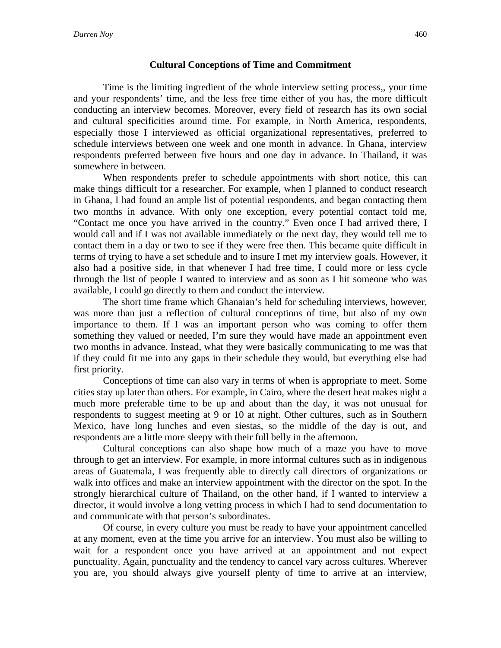#### **Cultural Conceptions of Time and Commitment**

Time is the limiting ingredient of the whole interview setting process,, your time and your respondents' time, and the less free time either of you has, the more difficult conducting an interview becomes. Moreover, every field of research has its own social and cultural specificities around time. For example, in North America, respondents, especially those I interviewed as official organizational representatives, preferred to schedule interviews between one week and one month in advance. In Ghana, interview respondents preferred between five hours and one day in advance. In Thailand, it was somewhere in between.

When respondents prefer to schedule appointments with short notice, this can make things difficult for a researcher. For example, when I planned to conduct research in Ghana, I had found an ample list of potential respondents, and began contacting them two months in advance. With only one exception, every potential contact told me, "Contact me once you have arrived in the country." Even once I had arrived there, I would call and if I was not available immediately or the next day, they would tell me to contact them in a day or two to see if they were free then. This became quite difficult in terms of trying to have a set schedule and to insure I met my interview goals. However, it also had a positive side, in that whenever I had free time, I could more or less cycle through the list of people I wanted to interview and as soon as I hit someone who was available, I could go directly to them and conduct the interview.

The short time frame which Ghanaian's held for scheduling interviews, however, was more than just a reflection of cultural conceptions of time, but also of my own importance to them. If I was an important person who was coming to offer them something they valued or needed, I'm sure they would have made an appointment even two months in advance. Instead, what they were basically communicating to me was that if they could fit me into any gaps in their schedule they would, but everything else had first priority.

Conceptions of time can also vary in terms of when is appropriate to meet. Some cities stay up later than others. For example, in Cairo, where the desert heat makes night a much more preferable time to be up and about than the day, it was not unusual for respondents to suggest meeting at 9 or 10 at night. Other cultures, such as in Southern Mexico, have long lunches and even siestas, so the middle of the day is out, and respondents are a little more sleepy with their full belly in the afternoon.

Cultural conceptions can also shape how much of a maze you have to move through to get an interview. For example, in more informal cultures such as in indigenous areas of Guatemala, I was frequently able to directly call directors of organizations or walk into offices and make an interview appointment with the director on the spot. In the strongly hierarchical culture of Thailand, on the other hand, if I wanted to interview a director, it would involve a long vetting process in which I had to send documentation to and communicate with that person's subordinates.

Of course, in every culture you must be ready to have your appointment cancelled at any moment, even at the time you arrive for an interview. You must also be willing to wait for a respondent once you have arrived at an appointment and not expect punctuality. Again, punctuality and the tendency to cancel vary across cultures. Wherever you are, you should always give yourself plenty of time to arrive at an interview,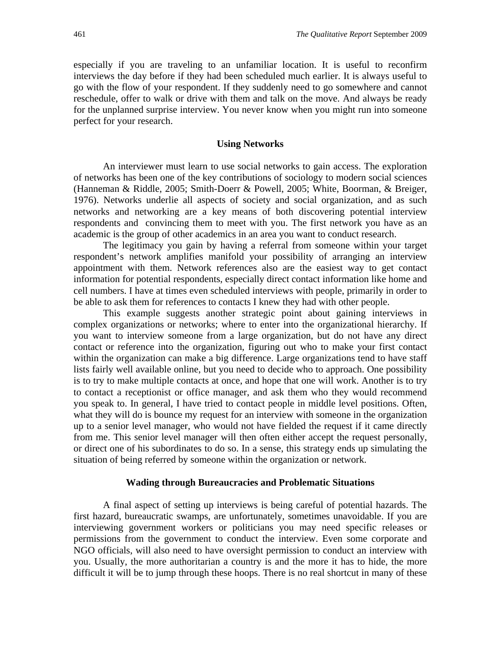especially if you are traveling to an unfamiliar location. It is useful to reconfirm interviews the day before if they had been scheduled much earlier. It is always useful to go with the flow of your respondent. If they suddenly need to go somewhere and cannot reschedule, offer to walk or drive with them and talk on the move. And always be ready for the unplanned surprise interview. You never know when you might run into someone perfect for your research.

#### **Using Networks**

An interviewer must learn to use social networks to gain access. The exploration of networks has been one of the key contributions of sociology to modern social sciences (Hanneman & Riddle, 2005; Smith-Doerr & Powell, 2005; White, Boorman, & Breiger, 1976). Networks underlie all aspects of society and social organization, and as such networks and networking are a key means of both discovering potential interview respondents and convincing them to meet with you. The first network you have as an academic is the group of other academics in an area you want to conduct research.

The legitimacy you gain by having a referral from someone within your target respondent's network amplifies manifold your possibility of arranging an interview appointment with them. Network references also are the easiest way to get contact information for potential respondents, especially direct contact information like home and cell numbers. I have at times even scheduled interviews with people, primarily in order to be able to ask them for references to contacts I knew they had with other people.

This example suggests another strategic point about gaining interviews in complex organizations or networks; where to enter into the organizational hierarchy. If you want to interview someone from a large organization, but do not have any direct contact or reference into the organization, figuring out who to make your first contact within the organization can make a big difference. Large organizations tend to have staff lists fairly well available online, but you need to decide who to approach. One possibility is to try to make multiple contacts at once, and hope that one will work. Another is to try to contact a receptionist or office manager, and ask them who they would recommend you speak to. In general, I have tried to contact people in middle level positions. Often, what they will do is bounce my request for an interview with someone in the organization up to a senior level manager, who would not have fielded the request if it came directly from me. This senior level manager will then often either accept the request personally, or direct one of his subordinates to do so. In a sense, this strategy ends up simulating the situation of being referred by someone within the organization or network.

#### **Wading through Bureaucracies and Problematic Situations**

A final aspect of setting up interviews is being careful of potential hazards. The first hazard, bureaucratic swamps, are unfortunately, sometimes unavoidable. If you are interviewing government workers or politicians you may need specific releases or permissions from the government to conduct the interview. Even some corporate and NGO officials, will also need to have oversight permission to conduct an interview with you. Usually, the more authoritarian a country is and the more it has to hide, the more difficult it will be to jump through these hoops. There is no real shortcut in many of these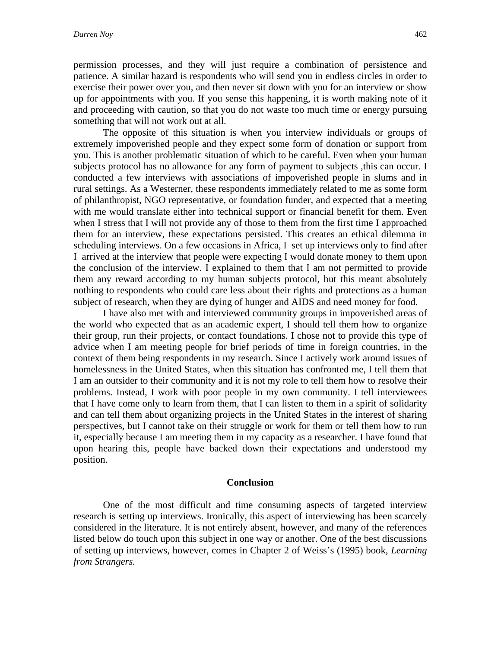permission processes, and they will just require a combination of persistence and patience. A similar hazard is respondents who will send you in endless circles in order to exercise their power over you, and then never sit down with you for an interview or show up for appointments with you. If you sense this happening, it is worth making note of it and proceeding with caution, so that you do not waste too much time or energy pursuing something that will not work out at all.

The opposite of this situation is when you interview individuals or groups of extremely impoverished people and they expect some form of donation or support from you. This is another problematic situation of which to be careful. Even when your human subjects protocol has no allowance for any form of payment to subjects, this can occur. I conducted a few interviews with associations of impoverished people in slums and in rural settings. As a Westerner, these respondents immediately related to me as some form of philanthropist, NGO representative, or foundation funder, and expected that a meeting with me would translate either into technical support or financial benefit for them. Even when I stress that I will not provide any of those to them from the first time I approached them for an interview, these expectations persisted. This creates an ethical dilemma in scheduling interviews. On a few occasions in Africa, I set up interviews only to find after I arrived at the interview that people were expecting I would donate money to them upon the conclusion of the interview. I explained to them that I am not permitted to provide them any reward according to my human subjects protocol, but this meant absolutely nothing to respondents who could care less about their rights and protections as a human subject of research, when they are dying of hunger and AIDS and need money for food.

I have also met with and interviewed community groups in impoverished areas of the world who expected that as an academic expert, I should tell them how to organize their group, run their projects, or contact foundations. I chose not to provide this type of advice when I am meeting people for brief periods of time in foreign countries, in the context of them being respondents in my research. Since I actively work around issues of homelessness in the United States, when this situation has confronted me, I tell them that I am an outsider to their community and it is not my role to tell them how to resolve their problems. Instead, I work with poor people in my own community. I tell interviewees that I have come only to learn from them, that I can listen to them in a spirit of solidarity and can tell them about organizing projects in the United States in the interest of sharing perspectives, but I cannot take on their struggle or work for them or tell them how to run it, especially because I am meeting them in my capacity as a researcher. I have found that upon hearing this, people have backed down their expectations and understood my position.

#### **Conclusion**

One of the most difficult and time consuming aspects of targeted interview research is setting up interviews. Ironically, this aspect of interviewing has been scarcely considered in the literature. It is not entirely absent, however, and many of the references listed below do touch upon this subject in one way or another. One of the best discussions of setting up interviews, however, comes in Chapter 2 of Weiss's (1995) book, *Learning from Strangers.*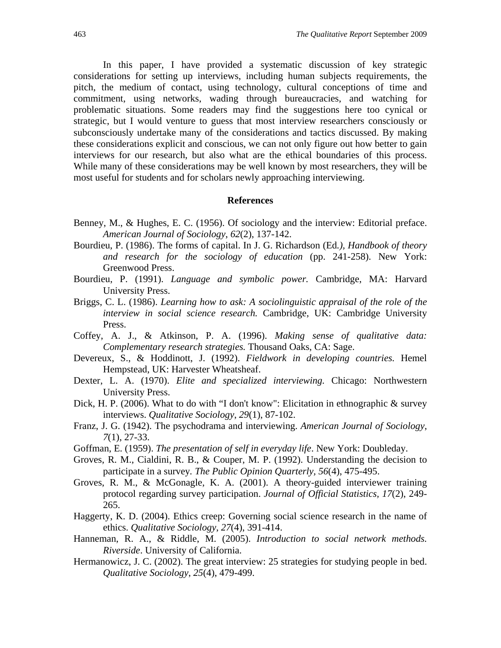In this paper, I have provided a systematic discussion of key strategic considerations for setting up interviews, including human subjects requirements, the pitch, the medium of contact, using technology, cultural conceptions of time and commitment, using networks, wading through bureaucracies, and watching for problematic situations. Some readers may find the suggestions here too cynical or strategic, but I would venture to guess that most interview researchers consciously or subconsciously undertake many of the considerations and tactics discussed. By making these considerations explicit and conscious, we can not only figure out how better to gain interviews for our research, but also what are the ethical boundaries of this process. While many of these considerations may be well known by most researchers, they will be most useful for students and for scholars newly approaching interviewing.

#### **References**

- Benney, M., & Hughes, E. C. (1956). Of sociology and the interview: Editorial preface. *American Journal of Sociology*, *62*(2), 137-142.
- Bourdieu, P. (1986). The forms of capital. In J. G. Richardson (Ed*.), Handbook of theory and research for the sociology of education* (pp. 241-258). New York: Greenwood Press.
- Bourdieu, P. (1991). *Language and symbolic power.* Cambridge, MA: Harvard University Press.
- Briggs, C. L. (1986). *Learning how to ask: A sociolinguistic appraisal of the role of the interview in social science research.* Cambridge, UK: Cambridge University Press.
- Coffey, A. J., & Atkinson, P. A. (1996). *Making sense of qualitative data: Complementary research strategies.* Thousand Oaks, CA: Sage.
- Devereux, S., & Hoddinott, J. (1992). *Fieldwork in developing countries.* Hemel Hempstead, UK: Harvester Wheatsheaf.
- Dexter, L. A. (1970). *Elite and specialized interviewing.* Chicago: Northwestern University Press.
- Dick, H. P. (2006). What to do with "I don't know": Elicitation in ethnographic & survey interviews. *Qualitative Sociology*, *29*(1), 87-102.
- Franz, J. G. (1942). The psychodrama and interviewing. *American Journal of Sociology*, *7*(1), 27-33.
- Goffman, E. (1959). *The presentation of self in everyday life*. New York: Doubleday.
- Groves, R. M., Cialdini, R. B., & Couper, M. P. (1992). Understanding the decision to participate in a survey*. The Public Opinion Quarterly, 56*(4), 475-495.
- Groves, R. M., & McGonagle, K. A. (2001). A theory-guided interviewer training protocol regarding survey participation. *Journal of Official Statistics, 17*(2), 249- 265.
- Haggerty, K. D. (2004). Ethics creep: Governing social science research in the name of ethics. *Qualitative Sociology*, *27*(4), 391-414.
- Hanneman, R. A., & Riddle, M. (2005). *Introduction to social network methods. Riverside*. University of California.
- Hermanowicz, J. C. (2002). The great interview: 25 strategies for studying people in bed. *Qualitative Sociology*, *25*(4), 479-499.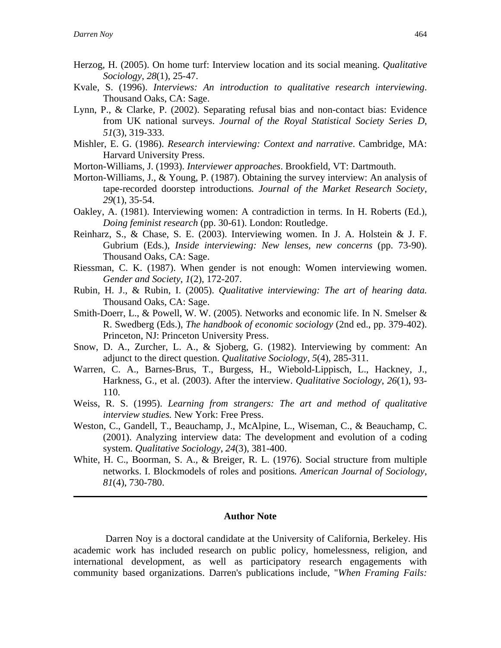- Herzog, H. (2005). On home turf: Interview location and its social meaning. *Qualitative Sociology, 28*(1), 25-47.
- Kvale, S. (1996). *Interviews: An introduction to qualitative research interviewing*. Thousand Oaks, CA: Sage.
- Lynn, P., & Clarke, P. (2002). Separating refusal bias and non-contact bias: Evidence from UK national surveys. *Journal of the Royal Statistical Society Series D*, *51*(3), 319-333.
- Mishler, E. G. (1986). *Research interviewing: Context and narrative*. Cambridge, MA: Harvard University Press.
- Morton-Williams, J. (1993). *Interviewer approaches*. Brookfield, VT: Dartmouth.
- Morton-Williams, J., & Young, P. (1987). Obtaining the survey interview: An analysis of tape-recorded doorstep introductions*. Journal of the Market Research Society*, *29*(1), 35-54.
- Oakley, A. (1981). Interviewing women: A contradiction in terms. In H. Roberts (Ed.), *Doing feminist research* (pp. 30-61). London: Routledge.
- Reinharz, S., & Chase, S. E. (2003). Interviewing women. In J. A. Holstein & J. F. Gubrium (Eds.), *Inside interviewing: New lenses, new concerns* (pp. 73-90). Thousand Oaks, CA: Sage.
- Riessman, C. K. (1987). When gender is not enough: Women interviewing women. *Gender and Society*, *1*(2), 172-207.
- Rubin, H. J., & Rubin, I. (2005). *Qualitative interviewing: The art of hearing data.*  Thousand Oaks, CA: Sage.
- Smith-Doerr, L., & Powell, W. W. (2005). Networks and economic life. In N. Smelser & R. Swedberg (Eds.), *The handbook of economic sociology* (2nd ed., pp. 379-402). Princeton, NJ: Princeton University Press.
- Snow, D. A., Zurcher, L. A., & Sjoberg, G. (1982). Interviewing by comment: An adjunct to the direct question. *Qualitative Sociology, 5*(4), 285-311.
- Warren, C. A., Barnes-Brus, T., Burgess, H., Wiebold-Lippisch, L., Hackney, J., Harkness, G., et al. (2003). After the interview. *Qualitative Sociology*, *26*(1), 93- 110.
- Weiss, R. S. (1995). *Learning from strangers: The art and method of qualitative interview studies.* New York: Free Press.
- Weston, C., Gandell, T., Beauchamp, J., McAlpine, L., Wiseman, C., & Beauchamp, C. (2001). Analyzing interview data: The development and evolution of a coding system. *Qualitative Sociology*, *24*(3), 381-400.
- White, H. C., Boorman, S. A., & Breiger, R. L. (1976). Social structure from multiple networks. I. Blockmodels of roles and positions*. American Journal of Sociology*, *81*(4), 730-780.

#### **Author Note**

 Darren Noy is a doctoral candidate at the University of California, Berkeley. His academic work has included research on public policy, homelessness, religion, and international development, as well as participatory research engagements with community based organizations. Darren's publications include, "*When Framing Fails:*